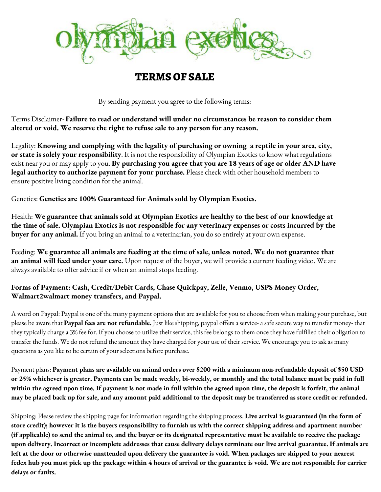

## **TERMSOF SALE**

By sending payment you agree to the following terms:

Terms Disclaimer- **Failure to read or understand will under no circumstances be reason to consider them altered or void. We reserve the right to refuse sale to any person for any reason.**

Legality: **Knowing and complying with the legality of purchasing or owning a reptile in your area, city, or state is solely your responsibility**. It is not the responsibility of Olympian Exotics to know what regulations exist near you or may apply to you. **By purchasing you agree that you are 18 years of age or older AND have legal authority to authorize payment for your purchase.** Please check with other household members to ensure positive living condition for the animal.

Genetics: **Genetics are 100% Guaranteed for Animals sold by Olympian Exotics.**

Health: **We guarantee that animals sold at Olympian Exotics are healthy to the best of our knowledge at** the time of sale. Olympian Exotics is not responsible for any veterinary expenses or costs incurred by the **buyer for any animal.** If you bring an animal to a veterinarian, you do so entirely at your own expense.

Feeding: **We guarantee all animals are feeding at the time of sale, unless noted. We do not guarantee that an animal will feed under your care.** Upon request of the buyer, we will provide a current feeding video. We are always available to offer advice if or when an animal stops feeding.

## **Forms of Payment: Cash, Credit/Debit Cards, Chase Quickpay, Zelle, Venmo, USPS Money Order, Walmart2walmart money transfers, and Paypal.**

A word on Paypal: Paypal is one of the many payment options that are available for you to choose from when making your purchase, but please be aware that **Paypal fees are not refundable.** Just like shipping, paypal offers a service- a safe secure way to transfer money- that they typically charge a 3% fee for. If you choose to utilize their service, this fee belongs to them once they have fulfilled their obligation to transfer the funds. We do not refund the amount they have charged for your use of their service. We encourage you to ask as many questions as you like to be certain of your selections before purchase.

Payment plans: Payment plans are available on animal orders over \$200 with a minimum non-refundable deposit of \$50 USD or 25% whichever is greater. Payments can be made weekly, bi-weekly, or monthly and the total balance must be paid in full within the agreed upon time. If payment is not made in full within the agreed upon time, the deposit is forfeit, the animal may be placed back up for sale, and any amount paid additional to the deposit may be transferred as store credit or refunded.

Shipping: Please review the shipping page for information regarding the shipping process. **Live arrival is guaranteed (in the form of** store credit); however it is the buyers responsibility to furnish us with the correct shipping address and apartment number (if applicable) to send the animal to, and the buyer or its designated representative must be available to receive the package upon delivery. Incorrect or incomplete addresses that cause delivery delays terminate our live arrival guarantee. If animals are left at the door or otherwise unattended upon delivery the guarantee is void. When packages are shipped to your nearest fedex hub you must pick up the package within 4 hours of arrival or the guarantee is void. We are not responsible for carrier **delays or faults.**